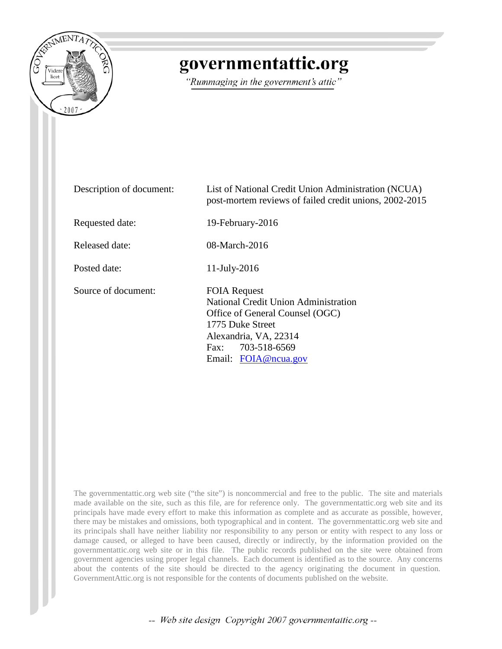

## governmentattic.org

"Rummaging in the government's attic"

| Description of document: | List of National Credit Union Administration (NCUA)<br>post-mortem reviews of failed credit unions, 2002-2015                                                                            |
|--------------------------|------------------------------------------------------------------------------------------------------------------------------------------------------------------------------------------|
| Requested date:          | 19-February-2016                                                                                                                                                                         |
| Released date:           | 08-March-2016                                                                                                                                                                            |
| Posted date:             | 11-July-2016                                                                                                                                                                             |
| Source of document:      | <b>FOIA Request</b><br>National Credit Union Administration<br>Office of General Counsel (OGC)<br>1775 Duke Street<br>Alexandria, VA, 22314<br>Fax: 703-518-6569<br>Email: FOIA@ncua.gov |

The governmentattic.org web site ("the site") is noncommercial and free to the public. The site and materials made available on the site, such as this file, are for reference only. The governmentattic.org web site and its principals have made every effort to make this information as complete and as accurate as possible, however, there may be mistakes and omissions, both typographical and in content. The governmentattic.org web site and its principals shall have neither liability nor responsibility to any person or entity with respect to any loss or damage caused, or alleged to have been caused, directly or indirectly, by the information provided on the governmentattic.org web site or in this file. The public records published on the site were obtained from government agencies using proper legal channels. Each document is identified as to the source. Any concerns about the contents of the site should be directed to the agency originating the document in question. GovernmentAttic.org is not responsible for the contents of documents published on the website.

-- Web site design Copyright 2007 governmentattic.org --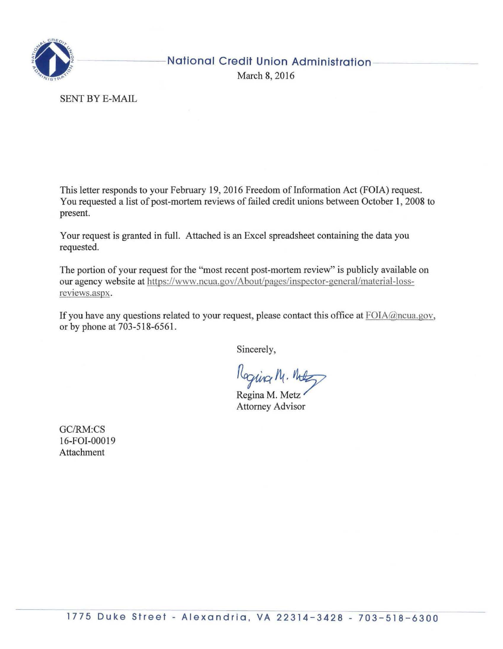

## **National Credit Union Administration**

March 8, 2016

SENT BY E-MAIL

This letter responds to your February 19, 2016 Freedom of Information Act (FOIA) request. You requested a list of post-mortem reviews of failed credit unions between October 1, 2008 to present.

Your request is granted in full. Attached is an Excel spreadsheet containing the data you requested.

The portion of your request for the "most recent post-mortem review" is publicly available on our agency website at https://www.ncua.gov/ About/pages/inspector-general/material-lossreviews.aspx.

If you have any questions related to your request, please contact this office at  $F O I A \omega$  ncua.gov, or by phone at 703-518-6561.

Sincerely,

Roging M. Note<br>Regina M. Metz

Regina M. Metz<br>Attorney Advisor

GC/RM:CS 16-FOI-00019 Attachment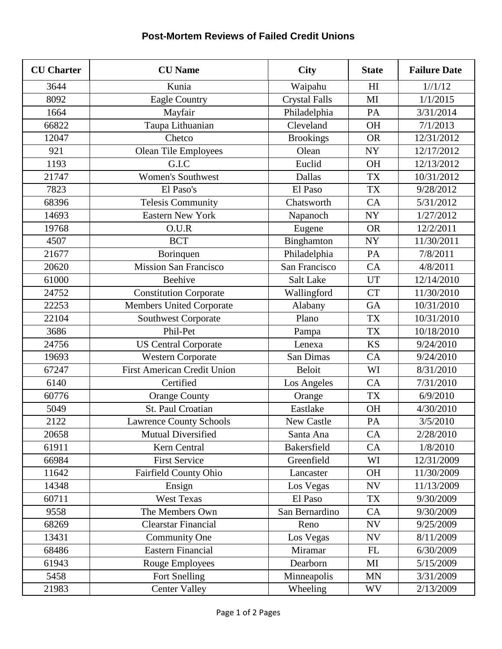## **Post-Mortem Reviews of Failed Credit Unions**

| <b>CU</b> Charter | <b>CU</b> Name                     | <b>City</b>          | <b>State</b>   | <b>Failure Date</b> |
|-------------------|------------------------------------|----------------------|----------------|---------------------|
| 3644              | Kunia                              | Waipahu              | H <sub>I</sub> | 1//1/12             |
| 8092              | Eagle Country                      | <b>Crystal Falls</b> | MI             | 1/1/2015            |
| 1664              | Mayfair                            | Philadelphia         | PA             | 3/31/2014           |
| 66822             | Taupa Lithuanian                   | Cleveland            | <b>OH</b>      | 7/1/2013            |
| 12047             | Chetco                             | <b>Brookings</b>     | <b>OR</b>      | 12/31/2012          |
| 921               | <b>Olean Tile Employees</b>        | Olean                | <b>NY</b>      | 12/17/2012          |
| 1193              | G.I.C                              | Euclid               | <b>OH</b>      | 12/13/2012          |
| 21747             | <b>Women's Southwest</b>           | Dallas               | <b>TX</b>      | 10/31/2012          |
| 7823              | El Paso's                          | El Paso              | <b>TX</b>      | 9/28/2012           |
| 68396             | <b>Telesis Community</b>           | Chatsworth           | CA             | 5/31/2012           |
| 14693             | <b>Eastern New York</b>            | Napanoch             | <b>NY</b>      | 1/27/2012           |
| 19768             | O.U.R                              | Eugene               | <b>OR</b>      | 12/2/2011           |
| 4507              | <b>BCT</b>                         | Binghamton           | <b>NY</b>      | 11/30/2011          |
| 21677             | Borinquen                          | Philadelphia         | PA             | 7/8/2011            |
| 20620             | <b>Mission San Francisco</b>       | San Francisco        | CA             | 4/8/2011            |
| 61000             | Beehive                            | Salt Lake            | <b>UT</b>      | 12/14/2010          |
| 24752             | <b>Constitution Corporate</b>      | Wallingford          | <b>CT</b>      | 11/30/2010          |
| 22253             | <b>Members United Corporate</b>    | Alabany              | <b>GA</b>      | 10/31/2010          |
| 22104             | Southwest Corporate                | Plano                | <b>TX</b>      | 10/31/2010          |
| 3686              | Phil-Pet                           | Pampa                | <b>TX</b>      | 10/18/2010          |
| 24756             | <b>US Central Corporate</b>        | Lenexa               | <b>KS</b>      | 9/24/2010           |
| 19693             | <b>Western Corporate</b>           | San Dimas            | CA             | 9/24/2010           |
| 67247             | <b>First American Credit Union</b> | Beloit               | WI             | 8/31/2010           |
| 6140              | Certified                          | Los Angeles          | CA             | 7/31/2010           |
| 60776             | <b>Orange County</b>               | Orange               | <b>TX</b>      | 6/9/2010            |
| 5049              | St. Paul Croatian                  | Eastlake             | <b>OH</b>      | 4/30/2010           |
| 2122              | <b>Lawrence County Schools</b>     | New Castle           | PA             | 3/5/2010            |
| 20658             | Mutual Diversified                 | Santa Ana            | CA             | 2/28/2010           |
| 61911             | Kern Central                       | Bakersfield          | CA             | 1/8/2010            |
| 66984             | <b>First Service</b>               | Greenfield           | WI             | 12/31/2009          |
| 11642             | Fairfield County Ohio              | Lancaster            | <b>OH</b>      | 11/30/2009          |
| 14348             | Ensign                             | Los Vegas            | <b>NV</b>      | 11/13/2009          |
| 60711             | West Texas                         | El Paso              | <b>TX</b>      | 9/30/2009           |
| 9558              | The Members Own                    | San Bernardino       | CA             | 9/30/2009           |
| 68269             | <b>Clearstar Financial</b>         | Reno                 | <b>NV</b>      | 9/25/2009           |
| 13431             | Community One                      | Los Vegas            | <b>NV</b>      | 8/11/2009           |
| 68486             | <b>Eastern Financial</b>           | Miramar              | FL             | 6/30/2009           |
| 61943             | Rouge Employees                    | Dearborn             | MI             | 5/15/2009           |
| 5458              | Fort Snelling                      | Minneapolis          | <b>MN</b>      | 3/31/2009           |
| 21983             | <b>Center Valley</b>               | Wheeling             | <b>WV</b>      | 2/13/2009           |